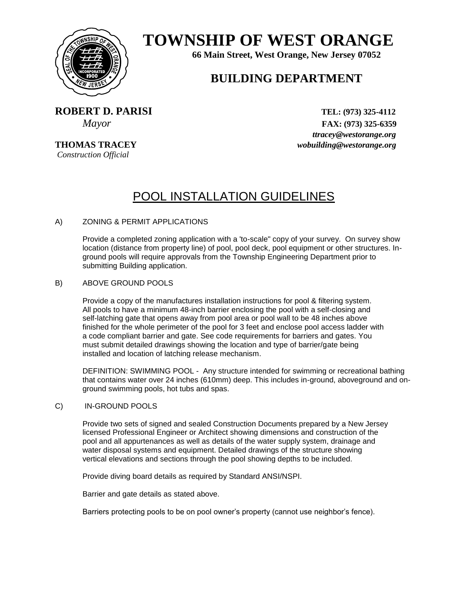

# **TOWNSHIP OF WEST ORANGE**

**66 Main Street, West Orange, New Jersey 07052**

## **BUILDING DEPARTMENT**

 **<b>ROBERT D. PARISI** TEL: (973) 325-4112

*Construction Official* 

 *Mayor* **FAX: (973) 325-6359** *ttracey@westorange.org*  **THOMAS TRACEY** *wobuilding@westorange.org*

## POOL INSTALLATION GUIDELINES

### A) ZONING & PERMIT APPLICATIONS

Provide a completed zoning application with a 'to-scale" copy of your survey. On survey show location (distance from property line) of pool, pool deck, pool equipment or other structures. Inground pools will require approvals from the Township Engineering Department prior to submitting Building application.

### B) ABOVE GROUND POOLS

Provide a copy of the manufactures installation instructions for pool & filtering system. All pools to have a minimum 48-inch barrier enclosing the pool with a self-closing and self-latching gate that opens away from pool area or pool wall to be 48 inches above finished for the whole perimeter of the pool for 3 feet and enclose pool access ladder with a code compliant barrier and gate. See code requirements for barriers and gates. You must submit detailed drawings showing the location and type of barrier/gate being installed and location of latching release mechanism.

DEFINITION: SWIMMING POOL - Any structure intended for swimming or recreational bathing that contains water over 24 inches (610mm) deep. This includes in-ground, aboveground and onground swimming pools, hot tubs and spas.

#### C) IN-GROUND POOLS

Provide two sets of signed and sealed Construction Documents prepared by a New Jersey licensed Professional Engineer or Architect showing dimensions and construction of the pool and all appurtenances as well as details of the water supply system, drainage and water disposal systems and equipment. Detailed drawings of the structure showing vertical elevations and sections through the pool showing depths to be included.

Provide diving board details as required by Standard ANSI/NSPI.

Barrier and gate details as stated above.

Barriers protecting pools to be on pool owner's property (cannot use neighbor's fence).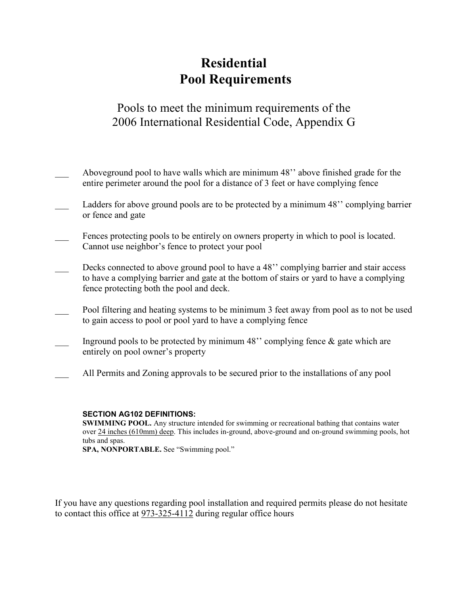## Residential Pool Requirements

## Pools to meet the minimum requirements of the 2006 International Residential Code, Appendix G

- Aboveground pool to have walls which are minimum 48" above finished grade for the entire perimeter around the pool for a distance of 3 feet or have complying fence
- Ladders for above ground pools are to be protected by a minimum 48'' complying barrier or fence and gate
- Fences protecting pools to be entirely on owners property in which to pool is located. Cannot use neighbor's fence to protect your pool
- Decks connected to above ground pool to have a 48" complying barrier and stair access to have a complying barrier and gate at the bottom of stairs or yard to have a complying fence protecting both the pool and deck.
- Pool filtering and heating systems to be minimum 3 feet away from pool as to not be used to gain access to pool or pool yard to have a complying fence
- Inground pools to be protected by minimum 48" complying fence  $\&$  gate which are entirely on pool owner's property
- \_\_\_ All Permits and Zoning approvals to be secured prior to the installations of any pool

### SECTION AG102 DEFINITIONS:

SWIMMING POOL. Any structure intended for swimming or recreational bathing that contains water over 24 inches (610mm) deep. This includes in-ground, above-ground and on-ground swimming pools, hot tubs and spas.

SPA, NONPORTABLE. See "Swimming pool."

If you have any questions regarding pool installation and required permits please do not hesitate to contact this office at 973-325-4112 during regular office hours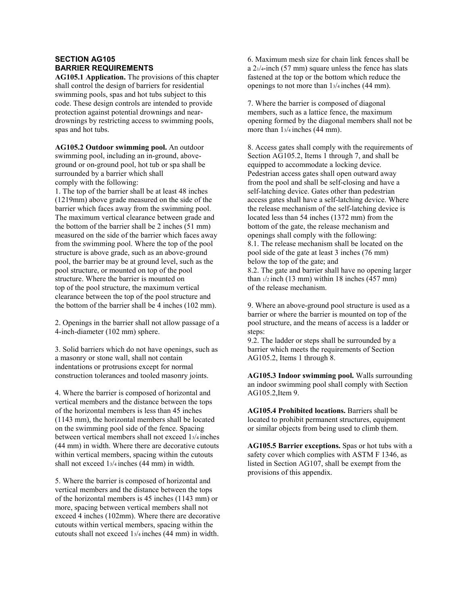### SECTION AG105 BARRIER REQUIREMENTS

AG105.1 Application. The provisions of this chapter shall control the design of barriers for residential swimming pools, spas and hot tubs subject to this code. These design controls are intended to provide protection against potential drownings and neardrownings by restricting access to swimming pools, spas and hot tubs.

AG105.2 Outdoor swimming pool. An outdoor swimming pool, including an in-ground, aboveground or on-ground pool, hot tub or spa shall be surrounded by a barrier which shall comply with the following:

1. The top of the barrier shall be at least 48 inches (1219mm) above grade measured on the side of the barrier which faces away from the swimming pool. The maximum vertical clearance between grade and the bottom of the barrier shall be 2 inches (51 mm) measured on the side of the barrier which faces away from the swimming pool. Where the top of the pool structure is above grade, such as an above-ground pool, the barrier may be at ground level, such as the pool structure, or mounted on top of the pool structure. Where the barrier is mounted on top of the pool structure, the maximum vertical clearance between the top of the pool structure and the bottom of the barrier shall be 4 inches (102 mm).

2. Openings in the barrier shall not allow passage of a 4-inch-diameter (102 mm) sphere.

3. Solid barriers which do not have openings, such as a masonry or stone wall, shall not contain indentations or protrusions except for normal construction tolerances and tooled masonry joints.

4. Where the barrier is composed of horizontal and vertical members and the distance between the tops of the horizontal members is less than 45 inches (1143 mm), the horizontal members shall be located on the swimming pool side of the fence. Spacing between vertical members shall not exceed 13/4 inches (44 mm) in width. Where there are decorative cutouts within vertical members, spacing within the cutouts shall not exceed 13/4 inches (44 mm) in width.

5. Where the barrier is composed of horizontal and vertical members and the distance between the tops of the horizontal members is 45 inches (1143 mm) or more, spacing between vertical members shall not exceed 4 inches (102mm). Where there are decorative cutouts within vertical members, spacing within the cutouts shall not exceed 13/4 inches (44 mm) in width.

6. Maximum mesh size for chain link fences shall be a  $21/4$ -inch (57 mm) square unless the fence has slats fastened at the top or the bottom which reduce the openings to not more than 13/4 inches (44 mm).

7. Where the barrier is composed of diagonal members, such as a lattice fence, the maximum opening formed by the diagonal members shall not be more than  $1\frac{3}{4}$  inches (44 mm).

8. Access gates shall comply with the requirements of Section AG105.2, Items 1 through 7, and shall be equipped to accommodate a locking device. Pedestrian access gates shall open outward away from the pool and shall be self-closing and have a self-latching device. Gates other than pedestrian access gates shall have a self-latching device. Where the release mechanism of the self-latching device is located less than 54 inches (1372 mm) from the bottom of the gate, the release mechanism and openings shall comply with the following: 8.1. The release mechanism shall be located on the pool side of the gate at least 3 inches (76 mm) below the top of the gate; and 8.2. The gate and barrier shall have no opening larger than  $\frac{1}{2}$  inch (13 mm) within 18 inches (457 mm)

of the release mechanism.

9. Where an above-ground pool structure is used as a barrier or where the barrier is mounted on top of the pool structure, and the means of access is a ladder or steps:

9.2. The ladder or steps shall be surrounded by a barrier which meets the requirements of Section AG105.2, Items 1 through 8.

AG105.3 Indoor swimming pool. Walls surrounding an indoor swimming pool shall comply with Section AG105.2,Item 9.

AG105.4 Prohibited locations. Barriers shall be located to prohibit permanent structures, equipment or similar objects from being used to climb them.

AG105.5 Barrier exceptions. Spas or hot tubs with a safety cover which complies with ASTM F 1346, as listed in Section AG107, shall be exempt from the provisions of this appendix.